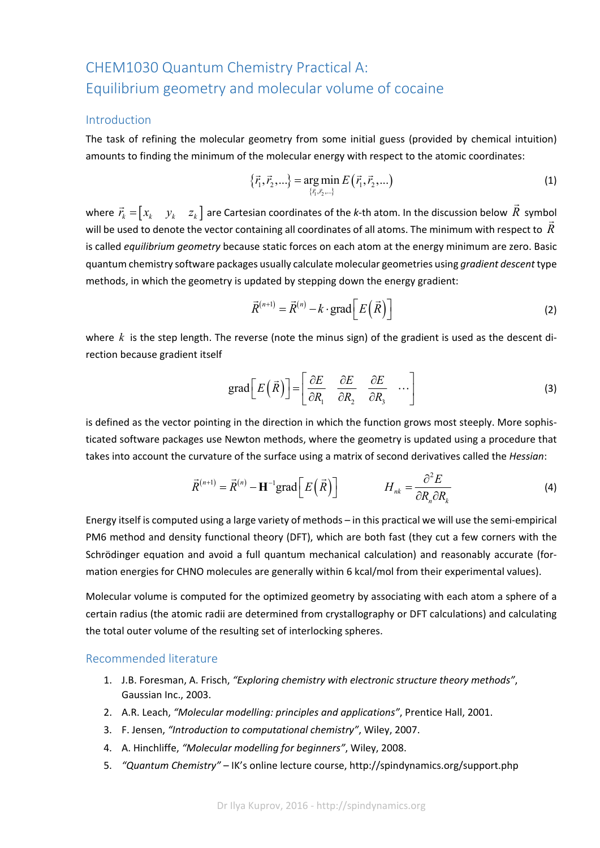# CHEM1030 Quantum Chemistry Practical A: Equilibrium geometry and molecular volume of cocaine

#### Introduction

The task of refining the molecular geometry from some initial guess (provided by chemical intuition) amounts to finding the minimum of the molecular energy with respect to the atomic coordinates:

$$
\{\vec{r}_1, \vec{r}_2, ...\} = \underset{\{\vec{r}_1, \vec{r}_2, ...\}}{\arg \min} E(\vec{r}_1, \vec{r}_2, ...)
$$
\n(1)

where  $\vec{r}_k = \begin{bmatrix} x_k & y_k & z_k \end{bmatrix}$  are Cartesian coordinates of the *k*-th atom. In the discussion below  $\vec{R}$ symbol will be used to denote the vector containing all coordinates of all atoms. The minimum with respect to  $\vec{R}$ is called *equilibrium geometry* because static forces on each atom at the energy minimum are zero. Basic quantum chemistry software packages usually calculate molecular geometries using *gradient descent*type methods, in which the geometry is updated by stepping down the energy gradient:

$$
\vec{R}^{(n+1)} = \vec{R}^{(n)} - k \cdot \text{grad}\bigg[E\big(\vec{R}\big)\bigg]
$$
 (2)

where  $k$  is the step length. The reverse (note the minus sign) of the gradient is used as the descent direction because gradient itself

grad
$$
\left[E\left(\vec{R}\right)\right] = \begin{bmatrix} \frac{\partial E}{\partial R_1} & \frac{\partial E}{\partial R_2} & \frac{\partial E}{\partial R_3} & \cdots \end{bmatrix}
$$
 (3)

is defined as the vector pointing in the direction in which the function grows most steeply. More sophis‐ ticated software packages use Newton methods, where the geometry is updated using a procedure that takes into account the curvature of the surface using a matrix of second derivatives called the *Hessian*:

$$
\vec{R}^{(n+1)} = \vec{R}^{(n)} - \mathbf{H}^{-1} \text{grad} \left[ E\left(\vec{R}\right) \right] \qquad H_{nk} = \frac{\partial^2 E}{\partial R_n \partial R_k} \tag{4}
$$

Energy itself is computed using a large variety of methods – in this practical we will use the semi‐empirical PM6 method and density functional theory (DFT), which are both fast (they cut a few corners with the Schrödinger equation and avoid a full quantum mechanical calculation) and reasonably accurate (for‐ mation energies for CHNO molecules are generally within 6 kcal/mol from their experimental values).

Molecular volume is computed for the optimized geometry by associating with each atom a sphere of a certain radius (the atomic radii are determined from crystallography or DFT calculations) and calculating the total outer volume of the resulting set of interlocking spheres.

#### Recommended literature

- 1. J.B. Foresman, A. Frisch, *"Exploring chemistry with electronic structure theory methods"*, Gaussian Inc., 2003.
- 2. A.R. Leach, *"Molecular modelling: principles and applications"*, Prentice Hall, 2001.
- 3. F. Jensen, *"Introduction to computational chemistry"*, Wiley, 2007.
- 4. A. Hinchliffe, *"Molecular modelling for beginners"*, Wiley, 2008.
- 5. *"Quantum Chemistry"* IK's online lecture course, http://spindynamics.org/support.php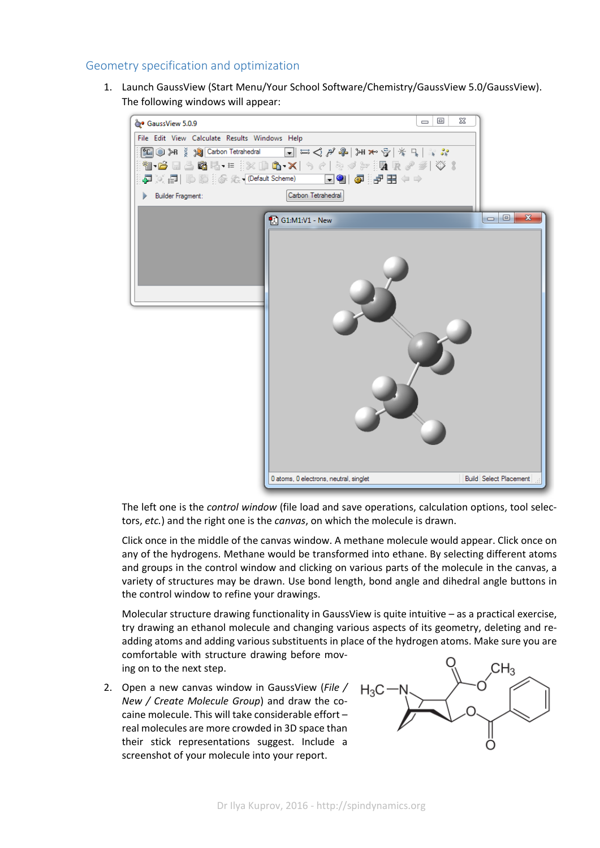## Geometry specification and optimization

1. Launch GaussView (Start Menu/Your School Software/Chemistry/GaussView 5.0/GaussView). The following windows will appear:



The left one is the *control window* (file load and save operations, calculation options, tool selec‐ tors, *etc.*) and the right one is the *canvas*, on which the molecule is drawn.

Click once in the middle of the canvas window. A methane molecule would appear. Click once on any of the hydrogens. Methane would be transformed into ethane. By selecting different atoms and groups in the control window and clicking on various parts of the molecule in the canvas, a variety of structures may be drawn. Use bond length, bond angle and dihedral angle buttons in the control window to refine your drawings.

Molecular structure drawing functionality in GaussView is quite intuitive – as a practical exercise, try drawing an ethanol molecule and changing various aspects of its geometry, deleting and re‐ adding atoms and adding various substituents in place of the hydrogen atoms. Make sure you are comfortable with structure drawing before mov-

ing on to the next step.

2. Open a new canvas window in GaussView (*File / New / Create Molecule Group*) and draw the co‐ caine molecule. This will take considerable effort – real molecules are more crowded in 3D space than their stick representations suggest. Include a screenshot of your molecule into your report.

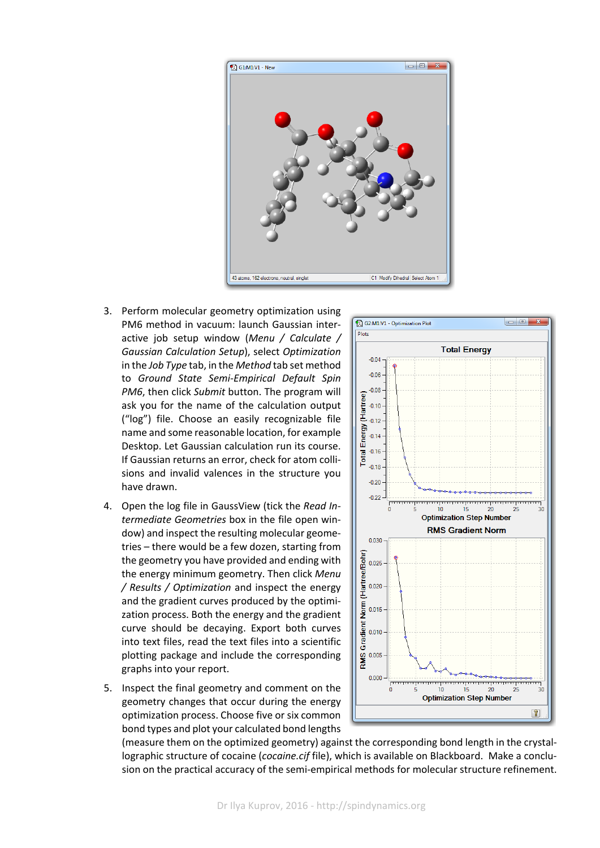

- 3. Perform molecular geometry optimization using PM6 method in vacuum: launch Gaussian inter‐ active job setup window (*Menu / Calculate / Gaussian Calculation Setup*), select *Optimization* in the *Job Type* tab, in the *Method* tab set method to *Ground State Semi‐Empirical Default Spin PM6*, then click *Submit* button. The program will ask you for the name of the calculation output ("log") file. Choose an easily recognizable file name and some reasonable location, for example Desktop. Let Gaussian calculation run its course. If Gaussian returns an error, check for atom colli‐ sions and invalid valences in the structure you have drawn.
- 4. Open the log file in GaussView (tick the *Read In‐ termediate Geometries* box in the file open win‐ dow) and inspect the resulting molecular geome‐ tries – there would be a few dozen, starting from the geometry you have provided and ending with the energy minimum geometry. Then click *Menu / Results / Optimization* and inspect the energy and the gradient curves produced by the optimi‐ zation process. Both the energy and the gradient curve should be decaying. Export both curves into text files, read the text files into a scientific plotting package and include the corresponding graphs into your report.
- 5. Inspect the final geometry and comment on the geometry changes that occur during the energy optimization process. Choose five or six common bond types and plot your calculated bond lengths



(measure them on the optimized geometry) against the corresponding bond length in the crystal‐ lographic structure of cocaine (*cocaine.cif* file), which is available on Blackboard. Make a conclusion on the practical accuracy of the semi-empirical methods for molecular structure refinement.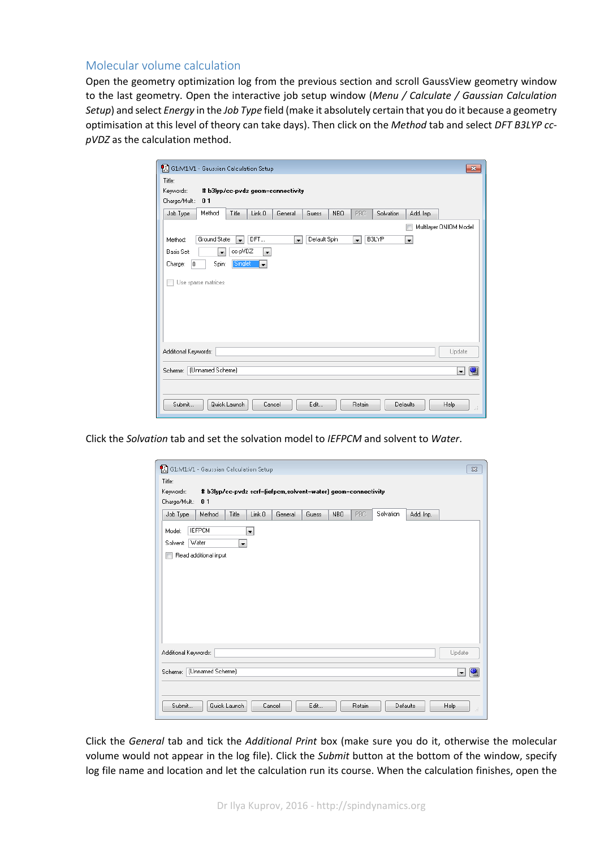## Molecular volume calculation

Open the geometry optimization log from the previous section and scroll GaussView geometry window to the last geometry. Open the interactive job setup window (*Menu / Calculate / Gaussian Calculation Setup*) and select *Energy* in the *Job Type* field (make it absolutely certain that you do it because a geometry optimisation at this level of theory can take days). Then click on the *Method* tab and select *DFT B3LYP cc‐ pVDZ* as the calculation method.

| 61:M1:V1 - Gaussian Calculation Setup<br>$\mathbf{x}$                                                                                                    |
|----------------------------------------------------------------------------------------------------------------------------------------------------------|
| Title:                                                                                                                                                   |
| Keywords:<br># b3lyp/cc-pvdz geom=connectivity                                                                                                           |
| Charge/Mult.:<br>01                                                                                                                                      |
| Method<br>Job Type<br>Title<br>Link 0<br>NBO.<br>PBC<br>Add. Inp.<br>General<br>Guess<br>Solvation                                                       |
| Multilayer ONIOM Model                                                                                                                                   |
| DFT<br>Default Spin<br><b>B3LYP</b><br>Ground State<br>Method:<br>$\overline{\phantom{a}}$<br>$\overline{\phantom{a}}$<br>$\mathbf{r}$<br>$\blacksquare$ |
| cc-pVDZ<br>Basis Set:<br>$\overline{\phantom{a}}$<br>$\overline{\phantom{a}}$                                                                            |
| Singlet<br>Spin:<br>Charge:<br>l0.<br>$\overline{\phantom{a}}$                                                                                           |
|                                                                                                                                                          |
| Use sparse matrices                                                                                                                                      |
|                                                                                                                                                          |
|                                                                                                                                                          |
|                                                                                                                                                          |
|                                                                                                                                                          |
| Additional Keywords:<br>Update                                                                                                                           |
| (Unnamed Scheme)<br>Scheme:<br>嚠<br>$\overline{\phantom{a}}$                                                                                             |
|                                                                                                                                                          |
| Submit<br>Edit<br>Cancel<br>Retain                                                                                                                       |
| Quick Launch<br><b>Help</b><br>Defaults<br>иÍ                                                                                                            |

Click the *Solvation* tab and set the solvation model to *IEFPCM* and solvent to *Water*.

| Keywords:<br>Charge/Mult.:<br>01 | # b3lyp/cc-pvdz scrf=(iefpcm,solvent=water) geom=connectivity |        |         |       |     |      |           |           |                          |
|----------------------------------|---------------------------------------------------------------|--------|---------|-------|-----|------|-----------|-----------|--------------------------|
| Job Type<br>Method               | Title                                                         | Link 0 | General | Guess | NBO | PBC. | Solvation | Add. Inp. |                          |
| <b>IEFPCM</b><br>Model:          |                                                               | ۳İ     |         |       |     |      |           |           |                          |
| Water<br>Solvent:                | $\vert$                                                       |        |         |       |     |      |           |           |                          |
| Read additional input            |                                                               |        |         |       |     |      |           |           |                          |
|                                  |                                                               |        |         |       |     |      |           |           |                          |
|                                  |                                                               |        |         |       |     |      |           |           |                          |
|                                  |                                                               |        |         |       |     |      |           |           |                          |
|                                  |                                                               |        |         |       |     |      |           |           |                          |
|                                  |                                                               |        |         |       |     |      |           |           |                          |
|                                  |                                                               |        |         |       |     |      |           |           |                          |
|                                  |                                                               |        |         |       |     |      |           |           |                          |
|                                  |                                                               |        |         |       |     |      |           |           |                          |
| Additional Keywords:             |                                                               |        |         |       |     |      |           |           | Update                   |
|                                  |                                                               |        |         |       |     |      |           |           |                          |
| Scheme:                          | [Unnamed Scheme]                                              |        |         |       |     |      |           |           | $\overline{\phantom{a}}$ |

Click the *General* tab and tick the *Additional Print* box (make sure you do it, otherwise the molecular volume would not appear in the log file). Click the *Submit* button at the bottom of the window, specify log file name and location and let the calculation run its course. When the calculation finishes, open the